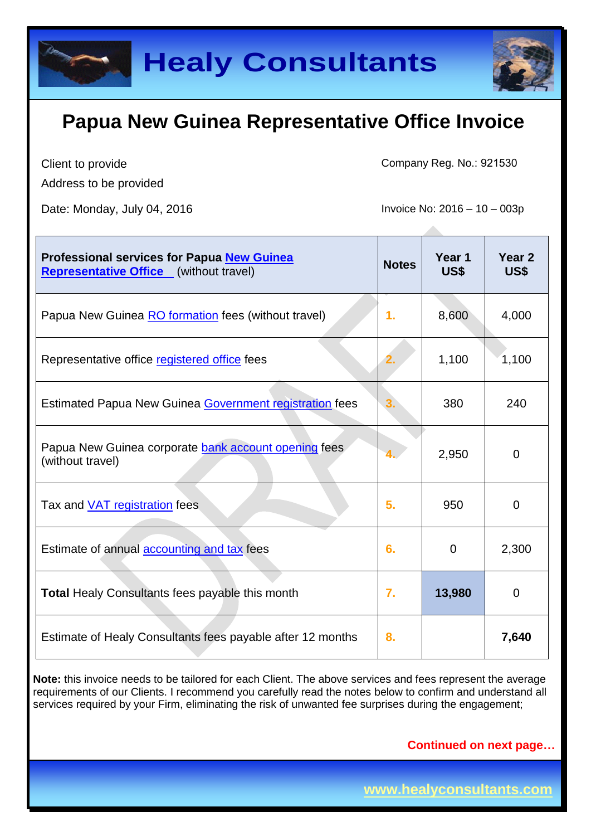

Client to provide

Address to be provided

Date: Monday, July 04, 2016 **Invoice No: 2016** - 10 – 003p

Company Reg. No.: 921530

| Professional services for Papua New Guinea<br><b>Representative Office</b> (without travel) | <b>Notes</b> | Year 1<br>US\$ | Year <sub>2</sub><br>US\$ |
|---------------------------------------------------------------------------------------------|--------------|----------------|---------------------------|
| Papua New Guinea RO formation fees (without travel)                                         | 1.           | 8,600          | 4,000                     |
| Representative office registered office fees                                                | 2.           | 1,100          | 1,100                     |
| <b>Estimated Papua New Guinea Government registration fees</b>                              |              | 380            | 240                       |
| Papua New Guinea corporate bank account opening fees<br>(without travel)                    |              | 2,950          | $\overline{0}$            |
| Tax and <b>VAT</b> registration fees                                                        | 5.           | 950            | 0                         |
| Estimate of annual accounting and tax fees                                                  | 6.           | 0              | 2,300                     |
| <b>Total Healy Consultants fees payable this month</b>                                      | 7.           | 13,980         | $\Omega$                  |
| Estimate of Healy Consultants fees payable after 12 months                                  | 8.           |                | 7,640                     |

**Note:** this invoice needs to be tailored for each Client. The above services and fees represent the average requirements of our Clients. I recommend you carefully read the notes below to confirm and understand all services required by your Firm, eliminating the risk of unwanted fee surprises during the engagement;

**Continued on next page…**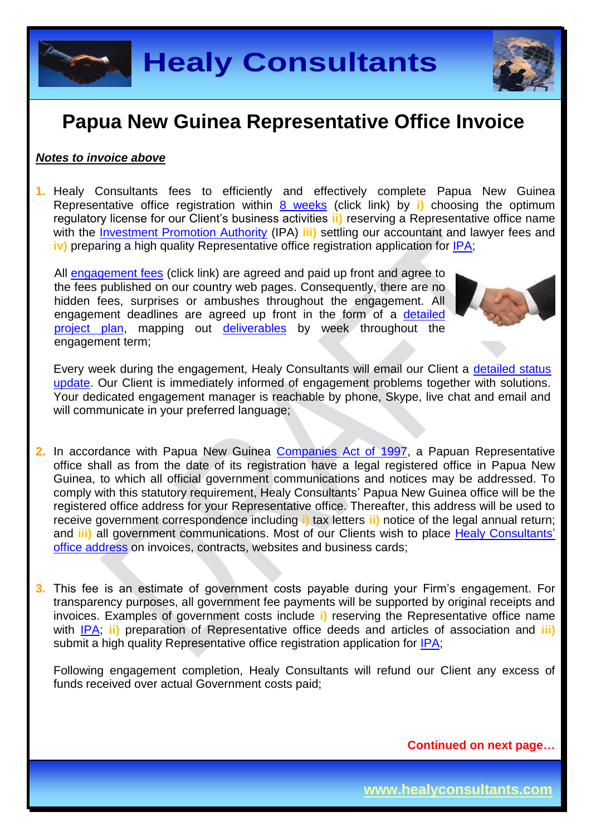

#### *Notes to invoice above*

**1.** Healy Consultants fees to efficiently and effectively complete Papua New Guinea Representative office registration within 8 [weeks](http://www.healyconsultants.com/papua-new-guinea-company-registration/fees-timelines/#timelines) (click link) by **i)** choosing the optimum regulatory license for our Client's business activities **ii)** reserving a Representative office name with the **Investment Promotion Authority** (IPA) **iii**) settling our accountant and lawyer fees and **iv)** preparing a high quality Representative office registration application for [IPA;](http://www.ipa.gov.pg/)

All [engagement fees](http://www.healyconsultants.com/company-registration-fees/) (click link) are agreed and paid up front and agree to the fees published on our country web pages. Consequently, there are no hidden fees, surprises or ambushes throughout the engagement. All engagement deadlines are agreed up front in the form of a [detailed](http://www.healyconsultants.com/index-important-links/example-project-plan/)  [project plan,](http://www.healyconsultants.com/index-important-links/example-project-plan/) mapping out [deliverables](http://www.healyconsultants.com/deliverables-to-our-clients/) by week throughout the engagement term;



Every week during the engagement, Healy Consultants will email our Client a [detailed status](http://www.healyconsultants.com/index-important-links/weekly-engagement-status-email/)  [update.](http://www.healyconsultants.com/index-important-links/weekly-engagement-status-email/) Our Client is immediately informed of engagement problems together with solutions. Your dedicated engagement manager is reachable by phone, Skype, live chat and email and will communicate in your preferred language;

- 2. In accordance with Papua New Guinea [Companies Act of 1997,](http://www.wipo.int/wipolex/en/text.jsp?file_id=193906) a Papuan Representative office shall as from the date of its registration have a legal registered office in Papua New Guinea, to which all official government communications and notices may be addressed. To comply with this statutory requirement, Healy Consultants' Papua New Guinea office will be the registered office address for your Representative office. Thereafter, this address will be used to receive government correspondence including **i)** tax letters **ii)** notice of the legal annual return; and **iii)** all government communications. Most of our Clients wish to place [Healy Consultants'](http://www.healyconsultants.com/corporate-outsourcing-services/company-secretary-and-legal-registered-office/) [office address](http://www.healyconsultants.com/corporate-outsourcing-services/company-secretary-and-legal-registered-office/) on invoices, contracts, websites and business cards;
- **3.** This fee is an estimate of government costs payable during your Firm's engagement. For transparency purposes, all government fee payments will be supported by original receipts and invoices. Examples of government costs include **i)** reserving the Representative office name with [IPA;](http://www.ipa.gov.pg/) **ii)** preparation of Representative office deeds and articles of association and **iii)** submit a high quality Representative office registration application for [IPA;](http://www.ipa.gov.pg/)

Following engagement completion, Healy Consultants will refund our Client any excess of funds received over actual Government costs paid;

**Continued on next page…**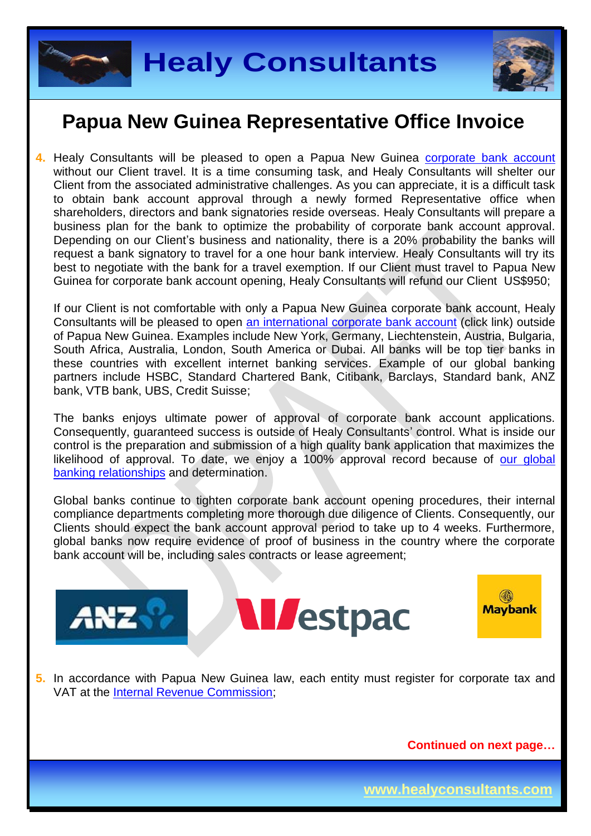



**4.** Healy Consultants will be pleased to open a Papua New Guinea [corporate bank account](http://www.healyconsultants.com/papua-new-guinea-company-registration/banking/) without our Client travel. It is a time consuming task, and Healy Consultants will shelter our Client from the associated administrative challenges. As you can appreciate, it is a difficult task to obtain bank account approval through a newly formed Representative office when shareholders, directors and bank signatories reside overseas. Healy Consultants will prepare a business plan for the bank to optimize the probability of corporate bank account approval. Depending on our Client's business and nationality, there is a 20% probability the banks will request a bank signatory to travel for a one hour bank interview. Healy Consultants will try its best to negotiate with the bank for a travel exemption. If our Client must travel to Papua New Guinea for corporate bank account opening, Healy Consultants will refund our Client US\$950;

If our Client is not comfortable with only a Papua New Guinea corporate bank account, Healy Consultants will be pleased to open [an international corporate bank account](http://www.healyconsultants.com/international-banking/) (click link) outside of Papua New Guinea. Examples include New York, Germany, Liechtenstein, Austria, Bulgaria, South Africa, Australia, London, South America or Dubai. All banks will be top tier banks in these countries with excellent internet banking services. Example of our global banking partners include HSBC, Standard Chartered Bank, Citibank, Barclays, Standard bank, ANZ bank, VTB bank, UBS, Credit Suisse;

The banks enjoys ultimate power of approval of corporate bank account applications. Consequently, guaranteed success is outside of Healy Consultants' control. What is inside our control is the preparation and submission of a high quality bank application that maximizes the likelihood of approval. To date, we enjoy a 100% approval record because of our global [banking relationships](http://www.healyconsultants.com/international-banking/corporate-accounts/) and determination.

Global banks continue to tighten corporate bank account opening procedures, their internal compliance departments completing more thorough due diligence of Clients. Consequently, our Clients should expect the bank account approval period to take up to 4 weeks. Furthermore, global banks now require evidence of proof of business in the country where the corporate bank account will be, including sales contracts or lease agreement;



**M**estpac



**5.** In accordance with Papua New Guinea law, each entity must register for corporate tax and VAT at the [Internal Revenue Commission;](http://www.irc.gov.pg/)

**Continued on next page…**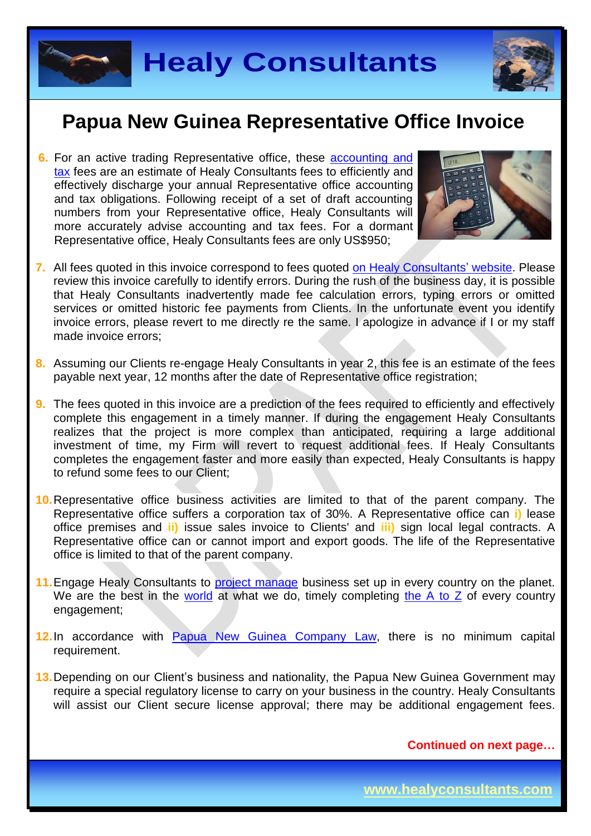



**6.** For an active trading Representative office, these [accounting and](http://www.healyconsultants.com/papua-new-guinea-company-registration/accounting-legal/)  [tax](http://www.healyconsultants.com/papua-new-guinea-company-registration/accounting-legal/) fees are an estimate of Healy Consultants fees to efficiently and effectively discharge your annual Representative office accounting and tax obligations. Following receipt of a set of draft accounting numbers from your Representative office, Healy Consultants will more accurately advise accounting and tax fees. For a dormant Representative office, Healy Consultants fees are only US\$950;



- **7.** All fees quoted in this invoice correspond to fees quoted [on Healy Consultants'](http://www.healyconsultants.com/company-registration-fees/) website. Please review this invoice carefully to identify errors. During the rush of the business day, it is possible that Healy Consultants inadvertently made fee calculation errors, typing errors or omitted services or omitted historic fee payments from Clients. In the unfortunate event you identify invoice errors, please revert to me directly re the same. I apologize in advance if I or my staff made invoice errors;
- **8.** Assuming our Clients re-engage Healy Consultants in year 2, this fee is an estimate of the fees payable next year, 12 months after the date of Representative office registration;
- **9.** The fees quoted in this invoice are a prediction of the fees required to efficiently and effectively complete this engagement in a timely manner. If during the engagement Healy Consultants realizes that the project is more complex than anticipated, requiring a large additional investment of time, my Firm will revert to request additional fees. If Healy Consultants completes the engagement faster and more easily than expected, Healy Consultants is happy to refund some fees to our Client;
- **10.**Representative office business activities are limited to that of the parent company. The Representative office suffers a corporation tax of 30%. A Representative office can **i)** lease office premises and **ii)** issue sales invoice to Clients' and **iii)** sign local legal contracts. A Representative office can or cannot import and export goods. The life of the Representative office is limited to that of the parent company.
- 11. Engage Healy Consultants to [project manage](http://www.healyconsultants.com/project-manage-engagements/) business set up in every country on the planet. We are the best in the [world](http://www.healyconsultants.com/best-in-the-world/) at what we do, timely completing the  $A$  to  $Z$  of every country engagement;
- **12.**In accordance with [Papua New Guinea](http://www.wipo.int/wipolex/en/text.jsp?file_id=199754) Company Law, there is no minimum capital requirement.
- **13.**Depending on our Client's business and nationality, the Papua New Guinea Government may require a special regulatory license to carry on your business in the country. Healy Consultants will assist our Client secure license approval; there may be additional engagement fees.

**Continued on next page…**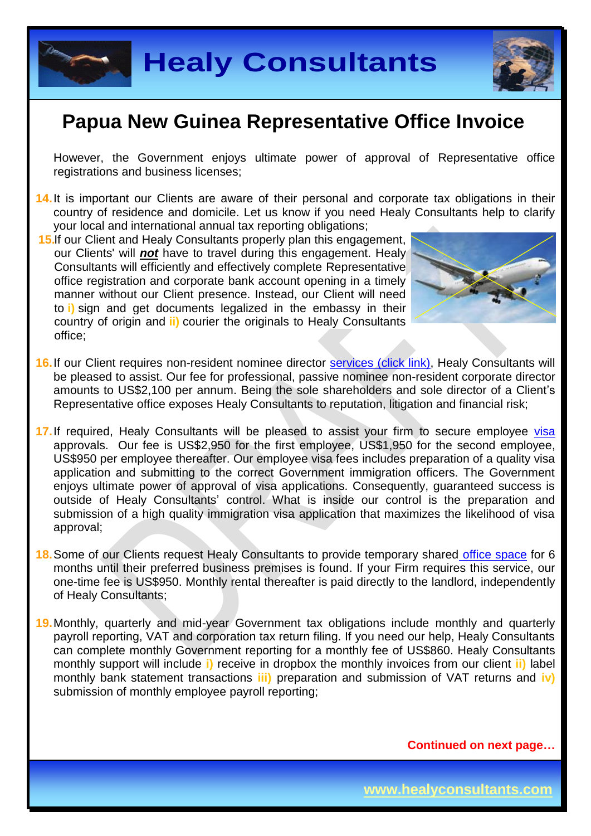



However, the Government enjoys ultimate power of approval of Representative office registrations and business licenses;

- **14.**It is important our Clients are aware of their personal and corporate tax obligations in their country of residence and domicile. Let us know if you need Healy Consultants help to clarify your local and international annual tax reporting obligations;
- **15.**If our Client and Healy Consultants properly plan this engagement, our Clients' will *not* have to travel during this engagement. Healy Consultants will efficiently and effectively complete Representative office registration and corporate bank account opening in a timely manner without our Client presence. Instead, our Client will need to **i)** sign and get documents legalized in the embassy in their country of origin and **ii)** courier the originals to Healy Consultants office;



- **16.** If our Client requires non-resident nominee director services [\(click link\),](http://www.healyconsultants.com/corporate-outsourcing-services/nominee-shareholders-directors/) Healy Consultants will be pleased to assist. Our fee for professional, passive nominee non-resident corporate director amounts to US\$2,100 per annum. Being the sole shareholders and sole director of a Client's Representative office exposes Healy Consultants to reputation, litigation and financial risk;
- 17. If required, Healy Consultants will be pleased to assist your firm to secure employee [visa](http://www.healyconsultants.com/papua-new-guinea-company-registration/formation-support-services/) approvals. Our fee is US\$2,950 for the first employee, US\$1,950 for the second employee, US\$950 per employee thereafter. Our employee visa fees includes preparation of a quality visa application and submitting to the correct Government immigration officers. The Government enjoys ultimate power of approval of visa applications. Consequently, guaranteed success is outside of Healy Consultants' control. What is inside our control is the preparation and submission of a high quality immigration visa application that maximizes the likelihood of visa approval;
- **18.**Some of our Clients request Healy Consultants to provide temporary shared [office space](http://www.healyconsultants.com/virtual-office/) for 6 months until their preferred business premises is found. If your Firm requires this service, our one-time fee is US\$950. Monthly rental thereafter is paid directly to the landlord, independently of Healy Consultants;
- **19.**Monthly, quarterly and mid-year Government tax obligations include monthly and quarterly payroll reporting, VAT and corporation tax return filing. If you need our help, Healy Consultants can complete monthly Government reporting for a monthly fee of US\$860. Healy Consultants monthly support will include **i)** receive in dropbox the monthly invoices from our client **ii)** label monthly bank statement transactions **iii)** preparation and submission of VAT returns and **iv)** submission of monthly employee payroll reporting;

**Continued on next page…**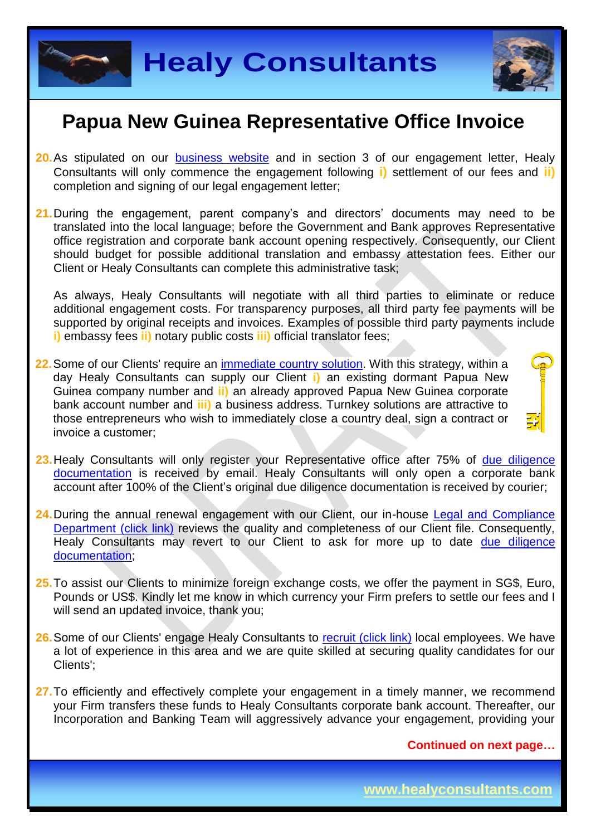



- **20.**As stipulated on our [business website](http://www.healyconsultants.com/) and in section 3 of our engagement letter, Healy Consultants will only commence the engagement following **i)** settlement of our fees and **ii)** completion and signing of our legal engagement letter;
- **21.**During the engagement, parent company's and directors' documents may need to be translated into the local language; before the Government and Bank approves Representative office registration and corporate bank account opening respectively. Consequently, our Client should budget for possible additional translation and embassy attestation fees. Either our Client or Healy Consultants can complete this administrative task;

As always, Healy Consultants will negotiate with all third parties to eliminate or reduce additional engagement costs. For transparency purposes, all third party fee payments will be supported by original receipts and invoices. Examples of possible third party payments include **i)** embassy fees **ii)** notary public costs **iii)** official translator fees;

**22.**Some of our Clients' require an [immediate country](http://www.healyconsultants.com/turnkey-solutions/) solution. With this strategy, within a day Healy Consultants can supply our Client **i)** an existing dormant Papua New Guinea company number and **ii)** an already approved Papua New Guinea corporate bank account number and **iii)** a business address. Turnkey solutions are attractive to those entrepreneurs who wish to immediately close a country deal, sign a contract or invoice a customer;



- 24. During the annual renewal engagement with our Client, our in-house Legal and Compliance [Department \(click link\)](http://www.healyconsultants.com/about-us/key-personnel/cai-xin-profile/) reviews the quality and completeness of our Client file. Consequently, Healy Consultants may revert to our Client to ask for more up to date due diligence [documentation;](http://www.healyconsultants.com/due-diligence/)
- **25.**To assist our Clients to minimize foreign exchange costs, we offer the payment in SG\$, Euro, Pounds or US\$. Kindly let me know in which currency your Firm prefers to settle our fees and I will send an updated invoice, thank you;
- 26. Some of our Clients' engage Healy Consultants to [recruit \(click link\)](http://www.healyconsultants.com/corporate-outsourcing-services/how-we-help-our-clients-recruit-quality-employees/) local employees. We have a lot of experience in this area and we are quite skilled at securing quality candidates for our Clients';
- **27.**To efficiently and effectively complete your engagement in a timely manner, we recommend your Firm transfers these funds to Healy Consultants corporate bank account. Thereafter, our Incorporation and Banking Team will aggressively advance your engagement, providing your

**Continued on next page…**